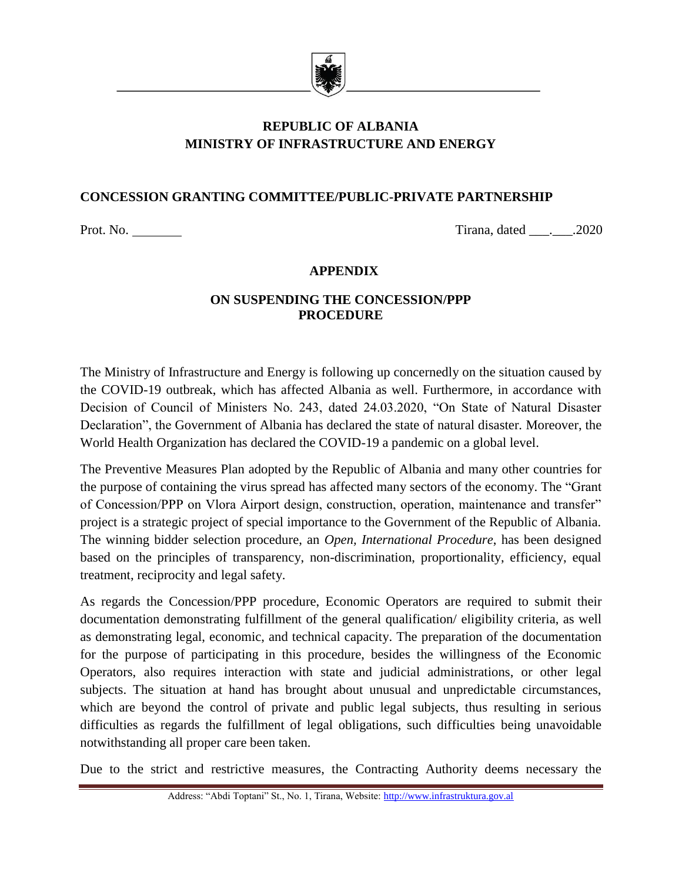

# **REPUBLIC OF ALBANIA MINISTRY OF INFRASTRUCTURE AND ENERGY**

# **CONCESSION GRANTING COMMITTEE/PUBLIC-PRIVATE PARTNERSHIP**

Prot. No. Tirana, dated \_\_\_.\_\_\_.2020

#### **APPENDIX**

## **ON SUSPENDING THE CONCESSION/PPP PROCEDURE**

The Ministry of Infrastructure and Energy is following up concernedly on the situation caused by the COVID-19 outbreak, which has affected Albania as well. Furthermore, in accordance with Decision of Council of Ministers No. 243, dated 24.03.2020, "On State of Natural Disaster Declaration", the Government of Albania has declared the state of natural disaster. Moreover, the World Health Organization has declared the COVID-19 a pandemic on a global level.

The Preventive Measures Plan adopted by the Republic of Albania and many other countries for the purpose of containing the virus spread has affected many sectors of the economy. The "Grant of Concession/PPP on Vlora Airport design, construction, operation, maintenance and transfer" project is a strategic project of special importance to the Government of the Republic of Albania. The winning bidder selection procedure, an *Open, International Procedure*, has been designed based on the principles of transparency, non-discrimination, proportionality, efficiency, equal treatment, reciprocity and legal safety.

As regards the Concession/PPP procedure, Economic Operators are required to submit their documentation demonstrating fulfillment of the general qualification/ eligibility criteria, as well as demonstrating legal, economic, and technical capacity. The preparation of the documentation for the purpose of participating in this procedure, besides the willingness of the Economic Operators, also requires interaction with state and judicial administrations, or other legal subjects. The situation at hand has brought about unusual and unpredictable circumstances, which are beyond the control of private and public legal subjects, thus resulting in serious difficulties as regards the fulfillment of legal obligations, such difficulties being unavoidable notwithstanding all proper care been taken.

Due to the strict and restrictive measures, the Contracting Authority deems necessary the